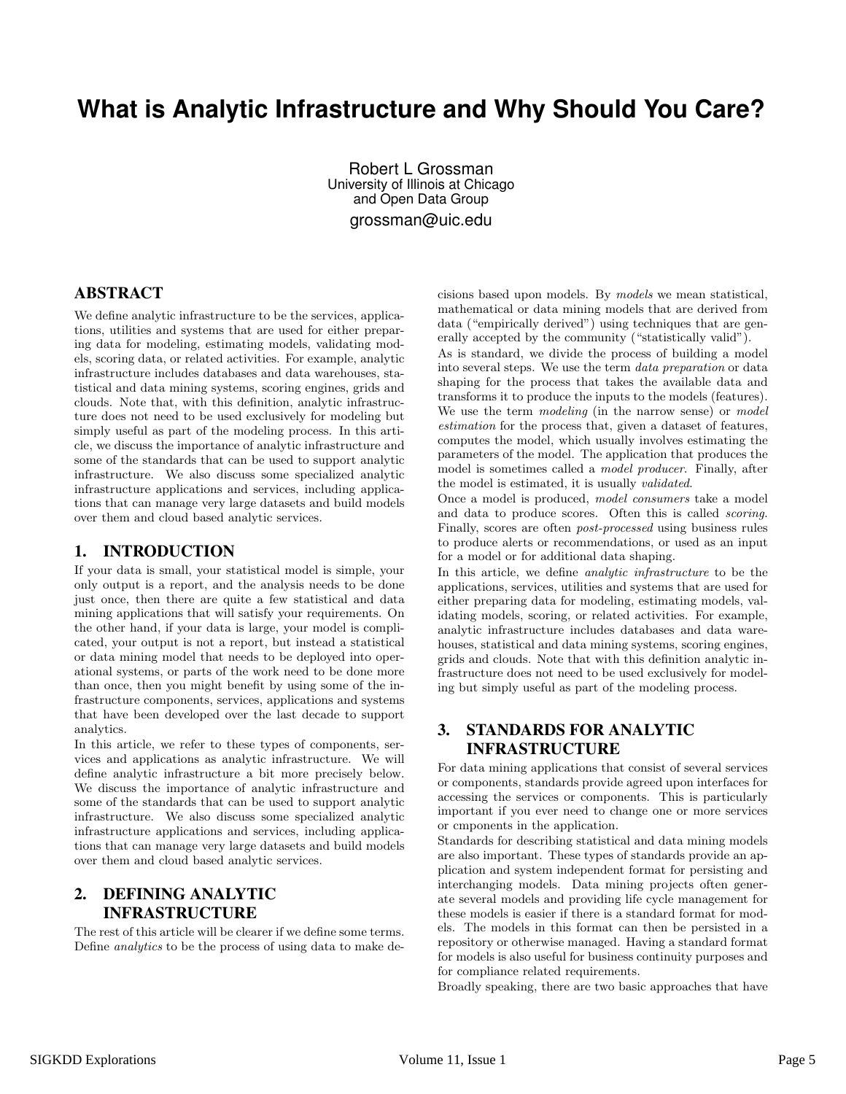# **What is Analytic Infrastructure and Why Should You Care?**

Robert L Grossman University of Illinois at Chicago and Open Data Group grossman@uic.edu

#### ABSTRACT

We define analytic infrastructure to be the services, applications, utilities and systems that are used for either preparing data for modeling, estimating models, validating models, scoring data, or related activities. For example, analytic infrastructure includes databases and data warehouses, statistical and data mining systems, scoring engines, grids and clouds. Note that, with this definition, analytic infrastructure does not need to be used exclusively for modeling but simply useful as part of the modeling process. In this article, we discuss the importance of analytic infrastructure and some of the standards that can be used to support analytic infrastructure. We also discuss some specialized analytic infrastructure applications and services, including applications that can manage very large datasets and build models over them and cloud based analytic services.

#### 1. INTRODUCTION

If your data is small, your statistical model is simple, your only output is a report, and the analysis needs to be done just once, then there are quite a few statistical and data mining applications that will satisfy your requirements. On the other hand, if your data is large, your model is complicated, your output is not a report, but instead a statistical or data mining model that needs to be deployed into operational systems, or parts of the work need to be done more than once, then you might benefit by using some of the infrastructure components, services, applications and systems that have been developed over the last decade to support analytics.

In this article, we refer to these types of components, services and applications as analytic infrastructure. We will define analytic infrastructure a bit more precisely below. We discuss the importance of analytic infrastructure and some of the standards that can be used to support analytic infrastructure. We also discuss some specialized analytic infrastructure applications and services, including applications that can manage very large datasets and build models over them and cloud based analytic services.

### 2. DEFINING ANALYTIC INFRASTRUCTURE

The rest of this article will be clearer if we define some terms. Define analytics to be the process of using data to make decisions based upon models. By models we mean statistical, mathematical or data mining models that are derived from data ("empirically derived") using techniques that are generally accepted by the community ("statistically valid").

As is standard, we divide the process of building a model into several steps. We use the term data preparation or data shaping for the process that takes the available data and transforms it to produce the inputs to the models (features). We use the term *modeling* (in the narrow sense) or *model* estimation for the process that, given a dataset of features, computes the model, which usually involves estimating the parameters of the model. The application that produces the model is sometimes called a model producer. Finally, after the model is estimated, it is usually validated.

Once a model is produced, model consumers take a model and data to produce scores. Often this is called scoring. Finally, scores are often post-processed using business rules to produce alerts or recommendations, or used as an input for a model or for additional data shaping.

In this article, we define analytic infrastructure to be the applications, services, utilities and systems that are used for either preparing data for modeling, estimating models, validating models, scoring, or related activities. For example, analytic infrastructure includes databases and data warehouses, statistical and data mining systems, scoring engines, grids and clouds. Note that with this definition analytic infrastructure does not need to be used exclusively for modeling but simply useful as part of the modeling process.

#### 3. STANDARDS FOR ANALYTIC INFRASTRUCTURE

For data mining applications that consist of several services or components, standards provide agreed upon interfaces for accessing the services or components. This is particularly important if you ever need to change one or more services or cmponents in the application.

Standards for describing statistical and data mining models are also important. These types of standards provide an application and system independent format for persisting and interchanging models. Data mining projects often generate several models and providing life cycle management for these models is easier if there is a standard format for models. The models in this format can then be persisted in a repository or otherwise managed. Having a standard format for models is also useful for business continuity purposes and for compliance related requirements.

Broadly speaking, there are two basic approaches that have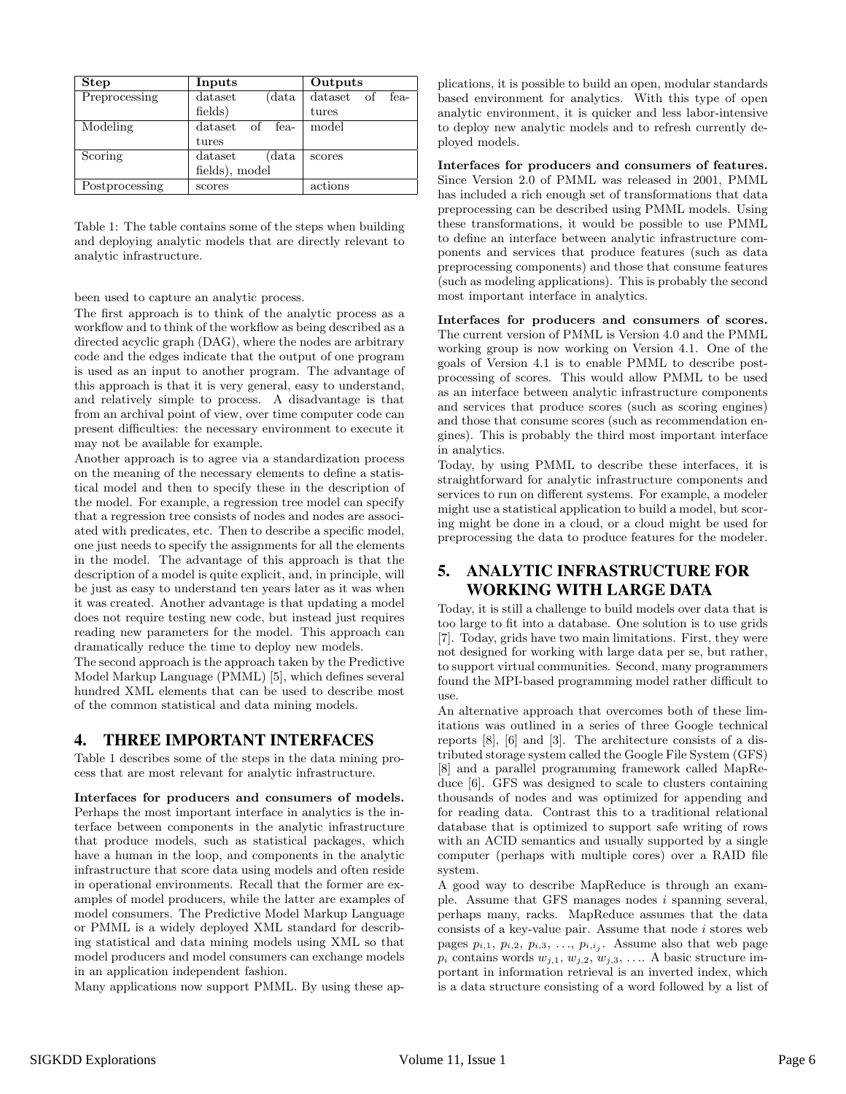| <b>Step</b>    | Inputs           | Outputs            |  |
|----------------|------------------|--------------------|--|
| Preprocessing  | dataset<br>(data | dataset of<br>fea- |  |
|                | fields)          | tures              |  |
| Modeling       | dataset of fea-  | model              |  |
|                | tures            |                    |  |
| Scoring        | dataset<br>data  | scores             |  |
|                | fields), model   |                    |  |
| Postprocessing | scores           | actions            |  |

Table 1: The table contains some of the steps when building and deploying analytic models that are directly relevant to analytic infrastructure.

been used to capture an analytic process.

The first approach is to think of the analytic process as a workflow and to think of the workflow as being described as a directed acyclic graph (DAG), where the nodes are arbitrary code and the edges indicate that the output of one program is used as an input to another program. The advantage of this approach is that it is very general, easy to understand, and relatively simple to process. A disadvantage is that from an archival point of view, over time computer code can present difficulties: the necessary environment to execute it may not be available for example.

Another approach is to agree via a standardization process on the meaning of the necessary elements to define a statistical model and then to specify these in the description of the model. For example, a regression tree model can specify that a regression tree consists of nodes and nodes are associated with predicates, etc. Then to describe a specific model, one just needs to specify the assignments for all the elements in the model. The advantage of this approach is that the description of a model is quite explicit, and, in principle, will be just as easy to understand ten years later as it was when it was created. Another advantage is that updating a model does not require testing new code, but instead just requires reading new parameters for the model. This approach can dramatically reduce the time to deploy new models.

The second approach is the approach taken by the Predictive Model Markup Language (PMML) [5], which defines several hundred XML elements that can be used to describe most of the common statistical and data mining models.

### 4. THREE IMPORTANT INTERFACES

Table 1 describes some of the steps in the data mining process that are most relevant for analytic infrastructure.

Interfaces for producers and consumers of models. Perhaps the most important interface in analytics is the interface between components in the analytic infrastructure that produce models, such as statistical packages, which have a human in the loop, and components in the analytic infrastructure that score data using models and often reside in operational environments. Recall that the former are examples of model producers, while the latter are examples of model consumers. The Predictive Model Markup Language or PMML is a widely deployed XML standard for describing statistical and data mining models using XML so that model producers and model consumers can exchange models in an application independent fashion.

Many applications now support PMML. By using these ap-

plications, it is possible to build an open, modular standards based environment for analytics. With this type of open analytic environment, it is quicker and less labor-intensive to deploy new analytic models and to refresh currently deployed models.

Interfaces for producers and consumers of features. Since Version 2.0 of PMML was released in 2001, PMML has included a rich enough set of transformations that data preprocessing can be described using PMML models. Using these transformations, it would be possible to use PMML to define an interface between analytic infrastructure components and services that produce features (such as data preprocessing components) and those that consume features (such as modeling applications). This is probably the second most important interface in analytics.

Interfaces for producers and consumers of scores. The current version of PMML is Version 4.0 and the PMML working group is now working on Version 4.1. One of the goals of Version 4.1 is to enable PMML to describe postprocessing of scores. This would allow PMML to be used as an interface between analytic infrastructure components and services that produce scores (such as scoring engines) and those that consume scores (such as recommendation engines). This is probably the third most important interface in analytics.

Today, by using PMML to describe these interfaces, it is straightforward for analytic infrastructure components and services to run on different systems. For example, a modeler might use a statistical application to build a model, but scoring might be done in a cloud, or a cloud might be used for preprocessing the data to produce features for the modeler.

#### 5. ANALYTIC INFRASTRUCTURE FOR WORKING WITH LARGE DATA

Today, it is still a challenge to build models over data that is too large to fit into a database. One solution is to use grids [7]. Today, grids have two main limitations. First, they were not designed for working with large data per se, but rather, to support virtual communities. Second, many programmers found the MPI-based programming model rather difficult to use.

An alternative approach that overcomes both of these limitations was outlined in a series of three Google technical reports [8], [6] and [3]. The architecture consists of a distributed storage system called the Google File System (GFS) [8] and a parallel programming framework called MapReduce [6]. GFS was designed to scale to clusters containing thousands of nodes and was optimized for appending and for reading data. Contrast this to a traditional relational database that is optimized to support safe writing of rows with an ACID semantics and usually supported by a single computer (perhaps with multiple cores) over a RAID file system.

A good way to describe MapReduce is through an example. Assume that GFS manages nodes i spanning several, perhaps many, racks. MapReduce assumes that the data consists of a key-value pair. Assume that node  $i$  stores web pages  $p_{i,1}, p_{i,2}, p_{i,3}, \ldots, p_{i,i_j}$ . Assume also that web page  $p_i$  contains words  $w_{j,1}, w_{j,2}, w_{j,3}, \ldots$ . A basic structure important in information retrieval is an inverted index, which is a data structure consisting of a word followed by a list of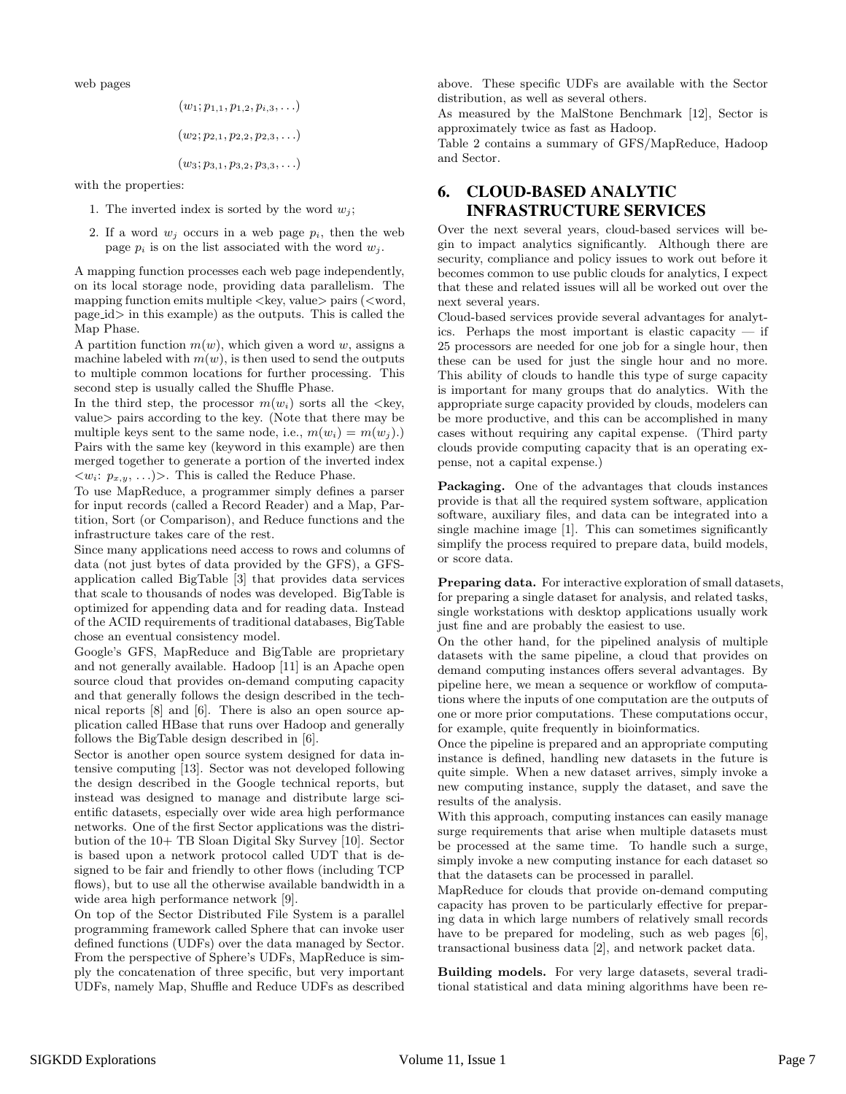web pages

$$
(w_1; p_{1,1}, p_{1,2}, p_{i,3}, \ldots)
$$

$$
(w_2; p_{2,1}, p_{2,2}, p_{2,3}, \ldots)
$$

$$
(w_3; p_{3,1}, p_{3,2}, p_{3,3}, \ldots)
$$

with the properties:

- 1. The inverted index is sorted by the word  $w_j$ ;
- 2. If a word  $w_i$  occurs in a web page  $p_i$ , then the web page  $p_i$  is on the list associated with the word  $w_i$ .

A mapping function processes each web page independently, on its local storage node, providing data parallelism. The mapping function emits multiple  $\langle \text{key}, \text{value} \rangle$  pairs  $(\langle \text{word}, \rangle)$ page id> in this example) as the outputs. This is called the Map Phase.

A partition function  $m(w)$ , which given a word w, assigns a machine labeled with  $m(w)$ , is then used to send the outputs to multiple common locations for further processing. This second step is usually called the Shuffle Phase.

In the third step, the processor  $m(w_i)$  sorts all the  $\langle \text{key}, \rangle$ value> pairs according to the key. (Note that there may be multiple keys sent to the same node, i.e.,  $m(w_i) = m(w_i)$ .) Pairs with the same key (keyword in this example) are then merged together to generate a portion of the inverted index  $\langle w_i: p_{x,y}, \ldots \rangle$ . This is called the Reduce Phase.

To use MapReduce, a programmer simply defines a parser for input records (called a Record Reader) and a Map, Partition, Sort (or Comparison), and Reduce functions and the infrastructure takes care of the rest.

Since many applications need access to rows and columns of data (not just bytes of data provided by the GFS), a GFSapplication called BigTable [3] that provides data services that scale to thousands of nodes was developed. BigTable is optimized for appending data and for reading data. Instead of the ACID requirements of traditional databases, BigTable chose an eventual consistency model.

Google's GFS, MapReduce and BigTable are proprietary and not generally available. Hadoop [11] is an Apache open source cloud that provides on-demand computing capacity and that generally follows the design described in the technical reports [8] and [6]. There is also an open source application called HBase that runs over Hadoop and generally follows the BigTable design described in [6].

Sector is another open source system designed for data intensive computing [13]. Sector was not developed following the design described in the Google technical reports, but instead was designed to manage and distribute large scientific datasets, especially over wide area high performance networks. One of the first Sector applications was the distribution of the 10+ TB Sloan Digital Sky Survey [10]. Sector is based upon a network protocol called UDT that is designed to be fair and friendly to other flows (including TCP flows), but to use all the otherwise available bandwidth in a wide area high performance network [9].

On top of the Sector Distributed File System is a parallel programming framework called Sphere that can invoke user defined functions (UDFs) over the data managed by Sector. From the perspective of Sphere's UDFs, MapReduce is simply the concatenation of three specific, but very important UDFs, namely Map, Shuffle and Reduce UDFs as described above. These specific UDFs are available with the Sector distribution, as well as several others.

As measured by the MalStone Benchmark [12], Sector is approximately twice as fast as Hadoop.

Table 2 contains a summary of GFS/MapReduce, Hadoop and Sector.

## 6. CLOUD-BASED ANALYTIC INFRASTRUCTURE SERVICES

Over the next several years, cloud-based services will begin to impact analytics significantly. Although there are security, compliance and policy issues to work out before it becomes common to use public clouds for analytics, I expect that these and related issues will all be worked out over the next several years.

Cloud-based services provide several advantages for analytics. Perhaps the most important is elastic capacity  $-$  if 25 processors are needed for one job for a single hour, then these can be used for just the single hour and no more. This ability of clouds to handle this type of surge capacity is important for many groups that do analytics. With the appropriate surge capacity provided by clouds, modelers can be more productive, and this can be accomplished in many cases without requiring any capital expense. (Third party clouds provide computing capacity that is an operating expense, not a capital expense.)

Packaging. One of the advantages that clouds instances provide is that all the required system software, application software, auxiliary files, and data can be integrated into a single machine image [1]. This can sometimes significantly simplify the process required to prepare data, build models, or score data.

Preparing data. For interactive exploration of small datasets, for preparing a single dataset for analysis, and related tasks, single workstations with desktop applications usually work just fine and are probably the easiest to use.

On the other hand, for the pipelined analysis of multiple datasets with the same pipeline, a cloud that provides on demand computing instances offers several advantages. By pipeline here, we mean a sequence or workflow of computations where the inputs of one computation are the outputs of one or more prior computations. These computations occur, for example, quite frequently in bioinformatics.

Once the pipeline is prepared and an appropriate computing instance is defined, handling new datasets in the future is quite simple. When a new dataset arrives, simply invoke a new computing instance, supply the dataset, and save the results of the analysis.

With this approach, computing instances can easily manage surge requirements that arise when multiple datasets must be processed at the same time. To handle such a surge, simply invoke a new computing instance for each dataset so that the datasets can be processed in parallel.

MapReduce for clouds that provide on-demand computing capacity has proven to be particularly effective for preparing data in which large numbers of relatively small records have to be prepared for modeling, such as web pages [6], transactional business data [2], and network packet data.

Building models. For very large datasets, several traditional statistical and data mining algorithms have been re-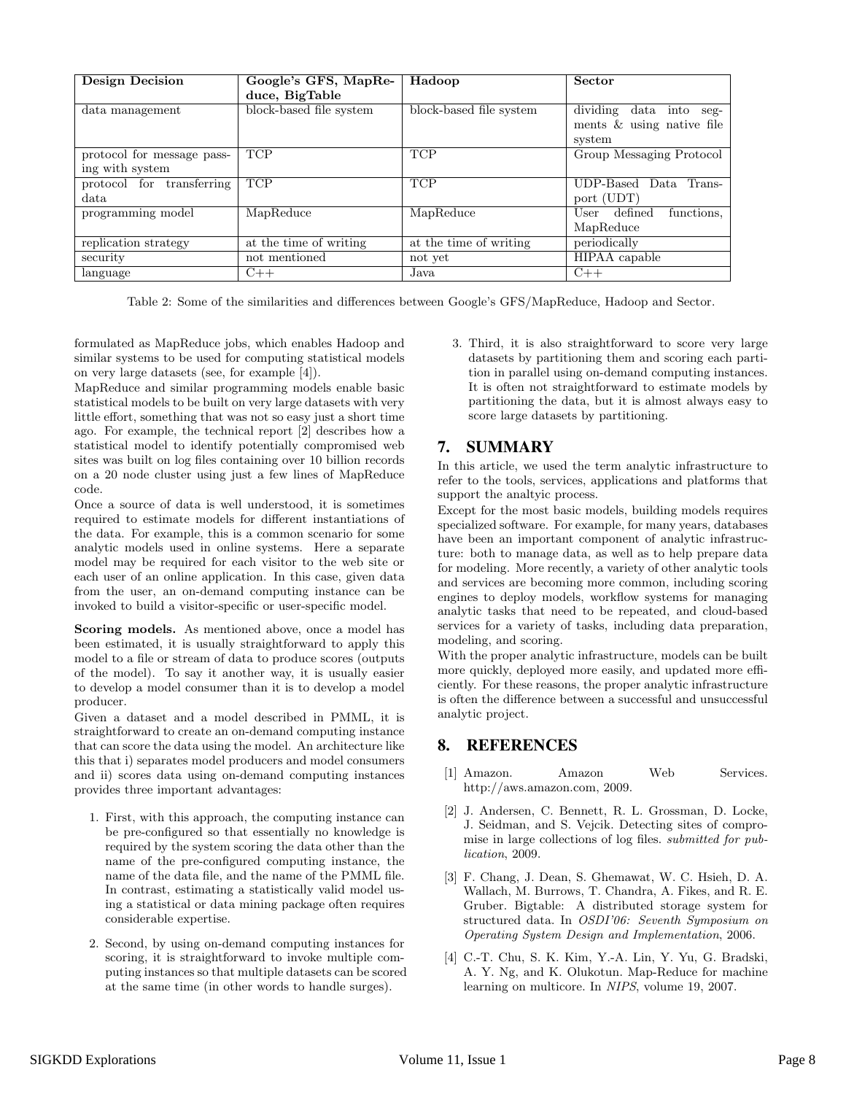| <b>Design Decision</b>       | Google's GFS, MapRe-<br>duce, BigTable | Hadoop                  | Sector                                                                 |
|------------------------------|----------------------------------------|-------------------------|------------------------------------------------------------------------|
| data management              | block-based file system                | block-based file system | dividing<br>data into<br>$seg-$<br>ments & using native file<br>system |
| protocol for message pass-   | <b>TCP</b>                             | <b>TCP</b>              | Group Messaging Protocol                                               |
| ing with system              |                                        |                         |                                                                        |
| transferring<br>protocol for | <b>TCP</b>                             | <b>TCP</b>              | UDP-Based Data<br>Trans-                                               |
| data.                        |                                        |                         | port (UDT)                                                             |
| programming model            | MapReduce                              | MapReduce               | defined<br>functions.<br>User                                          |
|                              |                                        |                         | MapReduce                                                              |
| replication strategy         | at the time of writing                 | at the time of writing  | periodically                                                           |
| security                     | not mentioned                          | not yet                 | $\overline{\text{HIPAA}}$ capable                                      |
| language                     | $C++$                                  | Java                    | $C++$                                                                  |

Table 2: Some of the similarities and differences between Google's GFS/MapReduce, Hadoop and Sector.

formulated as MapReduce jobs, which enables Hadoop and similar systems to be used for computing statistical models on very large datasets (see, for example [4]).

MapReduce and similar programming models enable basic statistical models to be built on very large datasets with very little effort, something that was not so easy just a short time ago. For example, the technical report [2] describes how a statistical model to identify potentially compromised web sites was built on log files containing over 10 billion records on a 20 node cluster using just a few lines of MapReduce code.

Once a source of data is well understood, it is sometimes required to estimate models for different instantiations of the data. For example, this is a common scenario for some analytic models used in online systems. Here a separate model may be required for each visitor to the web site or each user of an online application. In this case, given data from the user, an on-demand computing instance can be invoked to build a visitor-specific or user-specific model.

Scoring models. As mentioned above, once a model has been estimated, it is usually straightforward to apply this model to a file or stream of data to produce scores (outputs of the model). To say it another way, it is usually easier to develop a model consumer than it is to develop a model producer.

Given a dataset and a model described in PMML, it is straightforward to create an on-demand computing instance that can score the data using the model. An architecture like this that i) separates model producers and model consumers and ii) scores data using on-demand computing instances provides three important advantages:

- 1. First, with this approach, the computing instance can be pre-configured so that essentially no knowledge is required by the system scoring the data other than the name of the pre-configured computing instance, the name of the data file, and the name of the PMML file. In contrast, estimating a statistically valid model using a statistical or data mining package often requires considerable expertise.
- 2. Second, by using on-demand computing instances for scoring, it is straightforward to invoke multiple computing instances so that multiple datasets can be scored at the same time (in other words to handle surges).

3. Third, it is also straightforward to score very large datasets by partitioning them and scoring each partition in parallel using on-demand computing instances. It is often not straightforward to estimate models by partitioning the data, but it is almost always easy to score large datasets by partitioning.

# 7. SUMMARY

In this article, we used the term analytic infrastructure to refer to the tools, services, applications and platforms that support the analtyic process.

Except for the most basic models, building models requires specialized software. For example, for many years, databases have been an important component of analytic infrastructure: both to manage data, as well as to help prepare data for modeling. More recently, a variety of other analytic tools and services are becoming more common, including scoring engines to deploy models, workflow systems for managing analytic tasks that need to be repeated, and cloud-based services for a variety of tasks, including data preparation, modeling, and scoring.

With the proper analytic infrastructure, models can be built more quickly, deployed more easily, and updated more efficiently. For these reasons, the proper analytic infrastructure is often the difference between a successful and unsuccessful analytic project.

# 8. REFERENCES

- [1] Amazon. Amazon Web Services. http://aws.amazon.com, 2009.
- [2] J. Andersen, C. Bennett, R. L. Grossman, D. Locke, J. Seidman, and S. Vejcik. Detecting sites of compromise in large collections of log files. submitted for publication, 2009.
- [3] F. Chang, J. Dean, S. Ghemawat, W. C. Hsieh, D. A. Wallach, M. Burrows, T. Chandra, A. Fikes, and R. E. Gruber. Bigtable: A distributed storage system for structured data. In OSDI'06: Seventh Symposium on Operating System Design and Implementation, 2006.
- [4] C.-T. Chu, S. K. Kim, Y.-A. Lin, Y. Yu, G. Bradski, A. Y. Ng, and K. Olukotun. Map-Reduce for machine learning on multicore. In NIPS, volume 19, 2007.